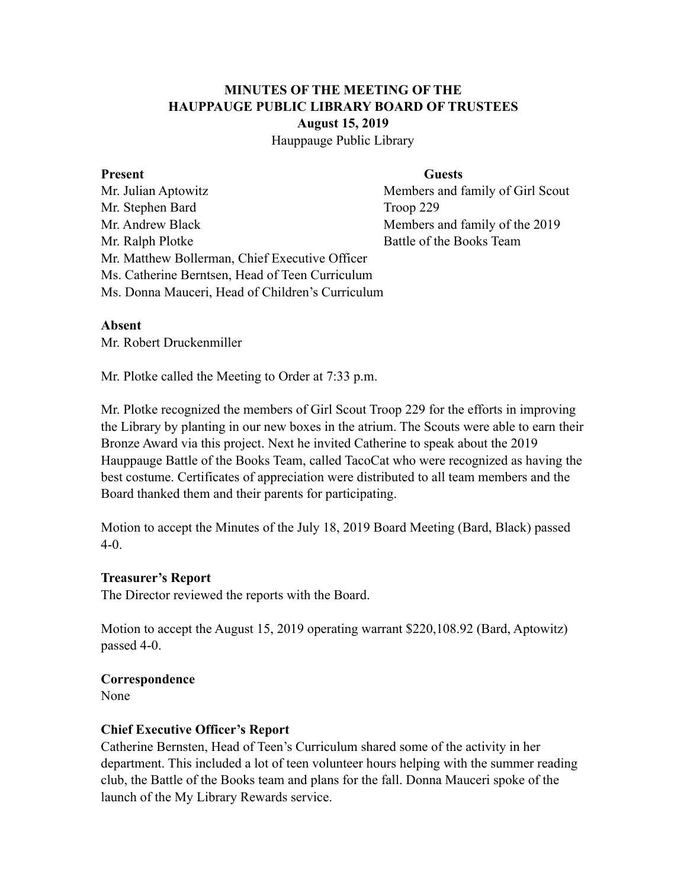# **MINUTES OF THE MEETING OF THE HAUPPAUGE PUBLIC LIBRARY BOARD OF TRUSTEES August 15, 2019**

Hauppauge Public Library

#### **Present** Guests

Mr. Julian Aptowitz Members and family of Girl Scout Mr. Stephen Bard Troop 229 Mr. Andrew Black Members and family of the 2019 Mr. Ralph Plotke Battle of the Books Team Mr. Matthew Bollerman, Chief Executive Officer Ms. Catherine Berntsen, Head of Teen Curriculum Ms. Donna Mauceri, Head of Children's Curriculum

#### **Absent**

Mr. Robert Druckenmiller

Mr. Plotke called the Meeting to Order at 7:33 p.m.

Mr. Plotke recognized the members of Girl Scout Troop 229 for the efforts in improving the Library by planting in our new boxes in the atrium. The Scouts were able to earn their Bronze Award via this project. Next he invited Catherine to speak about the 2019 Hauppauge Battle of the Books Team, called TacoCat who were recognized as having the best costume. Certificates of appreciation were distributed to all team members and the Board thanked them and their parents for participating.

Motion to accept the Minutes of the July 18, 2019 Board Meeting (Bard, Black) passed 4-0.

### **Treasurer's Report**

The Director reviewed the reports with the Board.

Motion to accept the August 15, 2019 operating warrant \$220,108.92 (Bard, Aptowitz) passed 4-0.

### **Correspondence**

None

### **Chief Executive Officer's Report**

Catherine Bernsten, Head of Teen's Curriculum shared some of the activity in her department. This included a lot of teen volunteer hours helping with the summer reading club, the Battle of the Books team and plans for the fall. Donna Mauceri spoke of the launch of the My Library Rewards service.